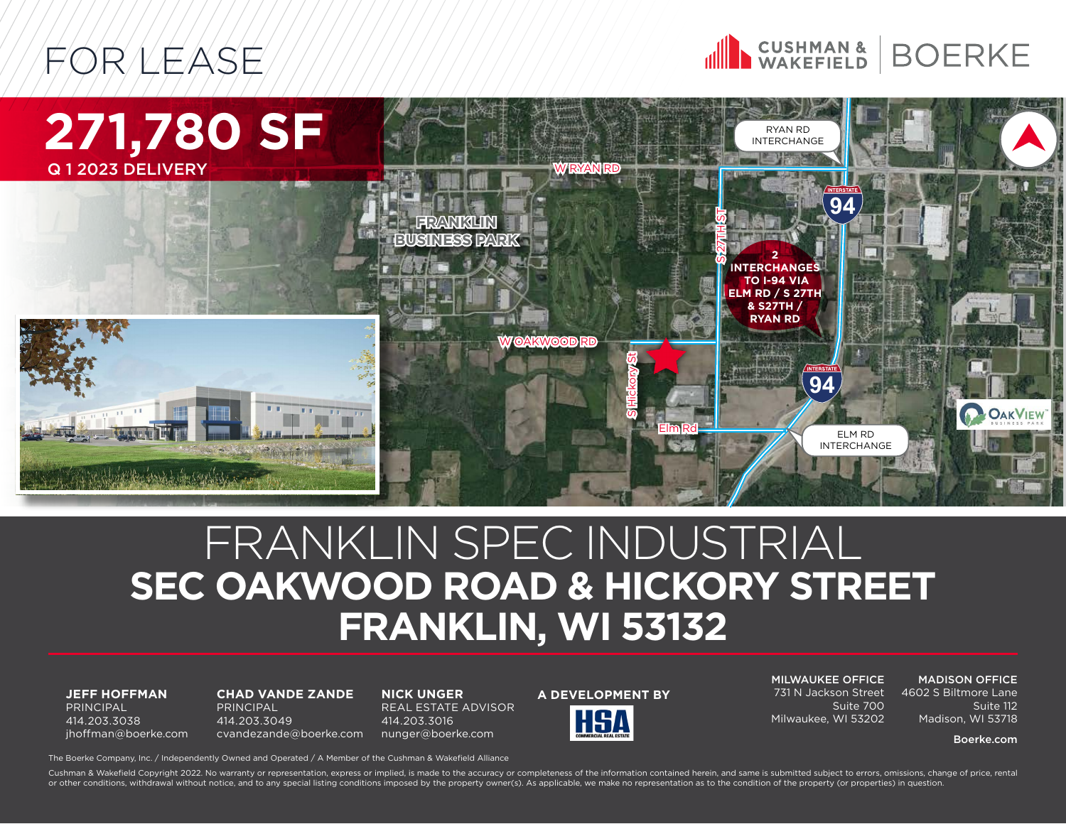





## FRANKLIN SPEC INDUSTRIAL **SEC OAKWOOD ROAD & HICKORY STREET FRANKLIN, WI 53132**

**JEFF HOFFMAN** PRINCIPAL 414.203.3038 jhoffman@boerke.com

**CHAD VANDE ZANDE** PRINCIPAL 414.203.3049 cvandezande@boerke.com

**NICK UNGER** REAL ESTATE ADVISOR 414.203.3016 nunger@boerke.com

**A DEVELOPMENT BY**

MILWAUKEE OFFICE 731 N Jackson Street

MADISON OFFICE 4602 S Biltmore Lane

Suite 700 Milwaukee, WI 53202

Suite 112 Madison, WI 53718

#### Boerke.com

The Boerke Company, Inc. / Independently Owned and Operated / A Member of the Cushman & Wakefield Alliance

Cushman & Wakefield Copyright 2022. No warranty or representation, express or implied, is made to the accuracy or completeness of the information contained herein, and same is submitted subject to errors, omissions, change or other conditions, withdrawal without notice, and to any special listing conditions imposed by the property owner(s). As applicable, we make no representation as to the condition of the property (or properties) in questi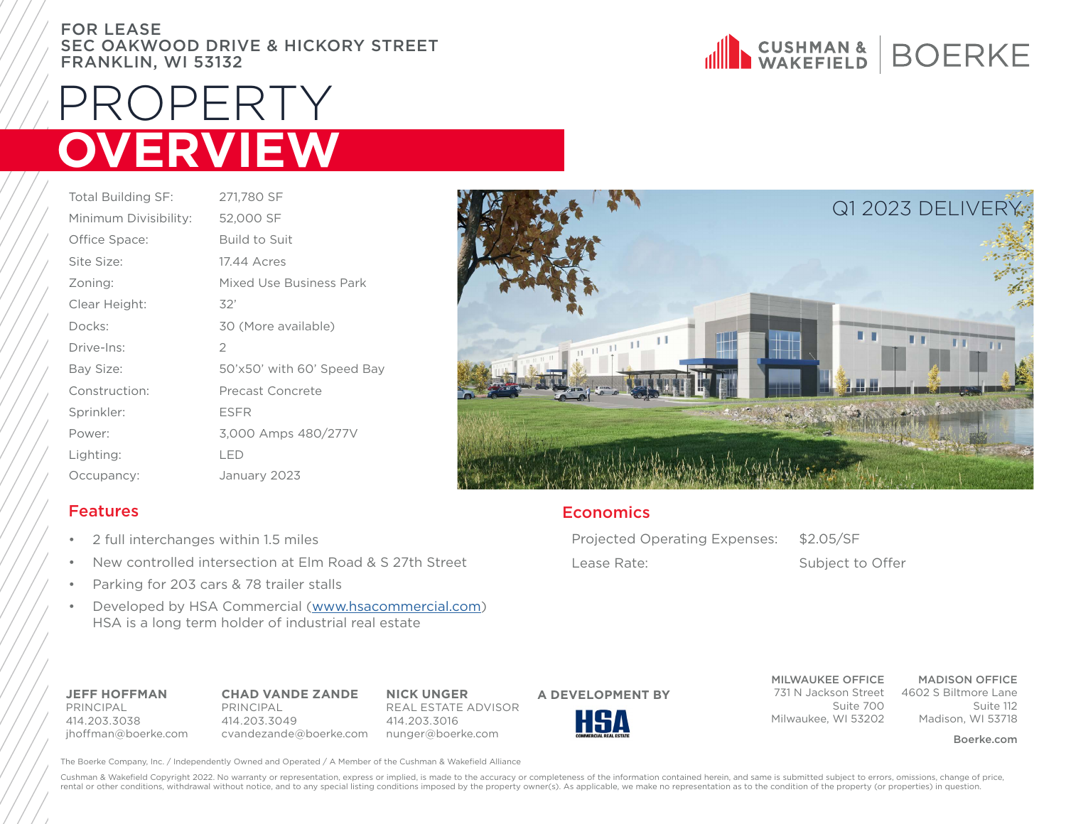#### FOR LEASE SEC OAKWOOD DRIVE & HICKORY STREET FRANKLIN, WI 53132

# PROPERTY **OVERVIEW**

| <b>Total Building SF:</b> | 271,780 SF                 |
|---------------------------|----------------------------|
| Minimum Divisibility:     | 52,000 SF                  |
| Office Space:             | <b>Build to Suit</b>       |
| Site Size:                | 17.44 Acres                |
| Zoning:                   | Mixed Use Business Park    |
| Clear Height:             | 32'                        |
| Docks:                    | 30 (More available)        |
| Drive-Ins:                | $\overline{2}$             |
| Bay Size:                 | 50'x50' with 60' Speed Bay |
| Construction:             | Precast Concrete           |
| Sprinkler:                | <b>ESFR</b>                |
| Power:                    | 3,000 Amps 480/277V        |
| Lighting:                 | LED                        |
| Occupancy:                | January 2023               |
|                           |                            |

#### Features

- 2 full interchanges within 1.5 miles
- New controlled intersection at Elm Road & S 27th Street
- Parking for 203 cars & 78 trailer stalls
- Developed by HSA Commercial ([www.hsacommercial.com](http://www.hsacommercial.com)) HSA is a long term holder of industrial real estate

**JEFF HOFFMAN** PRINCIPAL 414.203.3038 jhoffman@boerke.com **CHAD VANDE ZANDE** PRINCIPAL 414.203.3049 cvandezande@boerke.com nunger@boerke.com

**NICK UNGER** REAL ESTATE ADVISOR 414.203.3016



**A DEVELOPMENT BY**

The Boerke Company, Inc. / Independently Owned and Operated / A Member of the Cushman & Wakefield Alliance





### **Economics**

Projected Operating Expenses: \$2.05/SF

Lease Rate: Subject to Offer

MILWAUKEE OFFICE

Suite 700 Milwaukee, WI 53202

731 N Jackson Street 4602 S Biltmore Lane MADISON OFFICE Suite 112 Madison, WI 53718

Boerke.com

Cushman & Wakefield Copyright 2022. No warranty or representation, express or implied, is made to the accuracy or completeness of the information contained herein, and same is submitted subject to errors, omissions, change rental or other conditions, withdrawal without notice, and to any special listing conditions imposed by the property owner(s). As applicable, we make no representation as to the condition of the property (or properties) in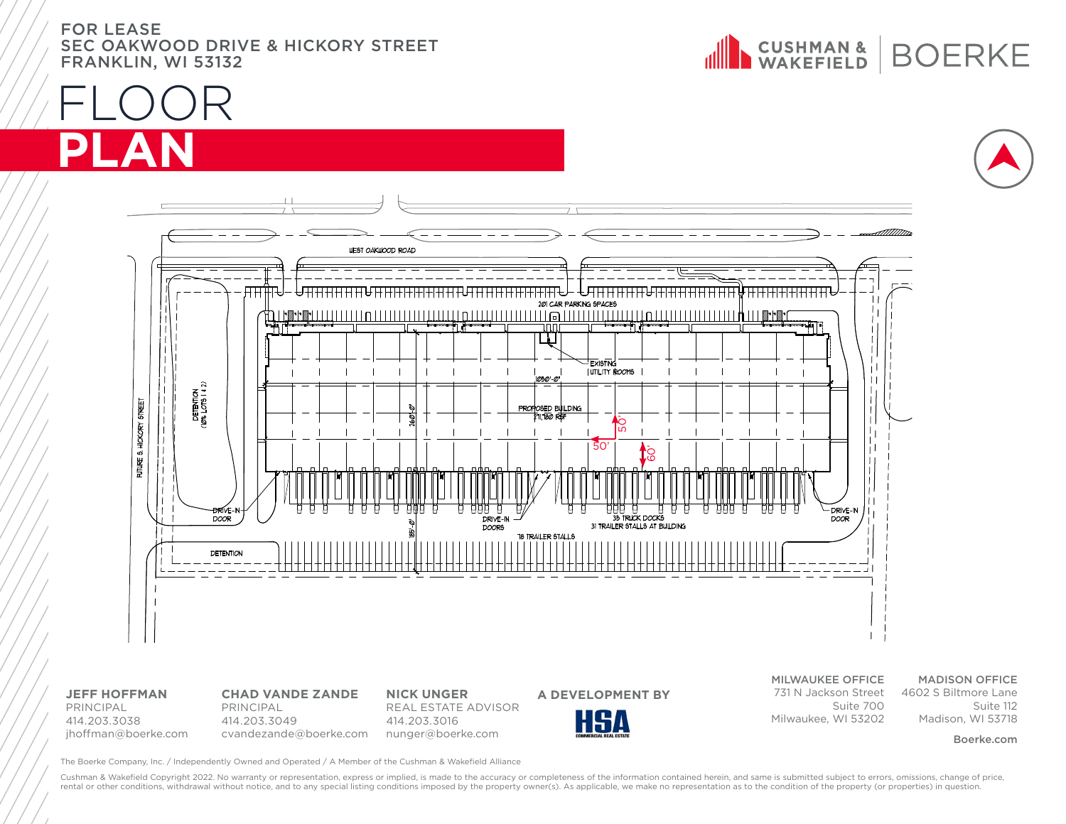FOR LEASE SEC OAKWOOD DRIVE & HICKORY STREET FRANKLIN, WI 53132









**JEFF HOFFMAN** PRINCIPAL 414.203.3038 jhoffman@boerke.com

**CHAD VANDE ZANDE** PRINCIPAL 414.203.3049

cvandezande@boerke.com nunger@boerke.com **NICK UNGER** REAL ESTATE ADVISOR 414.203.3016



MILWAUKEE OFFICE

731 N Jackson Street 4602 S Biltmore Lane Suite 700 Milwaukee, WI 53202

#### MADISON OFFICE

Suite 112 Madison, WI 53718

#### Boerke.com

The Boerke Company, Inc. / Independently Owned and Operated / A Member of the Cushman & Wakefield Alliance

Cushman & Wakefield Copyright 2022. No warranty or representation, express or implied, is made to the accuracy or completeness of the information contained herein, and same is submitted subject to errors, omissions, change rental or other conditions, withdrawal without notice, and to any special listing conditions imposed by the property owner(s). As applicable, we make no representation as to the condition of the property (or properties) in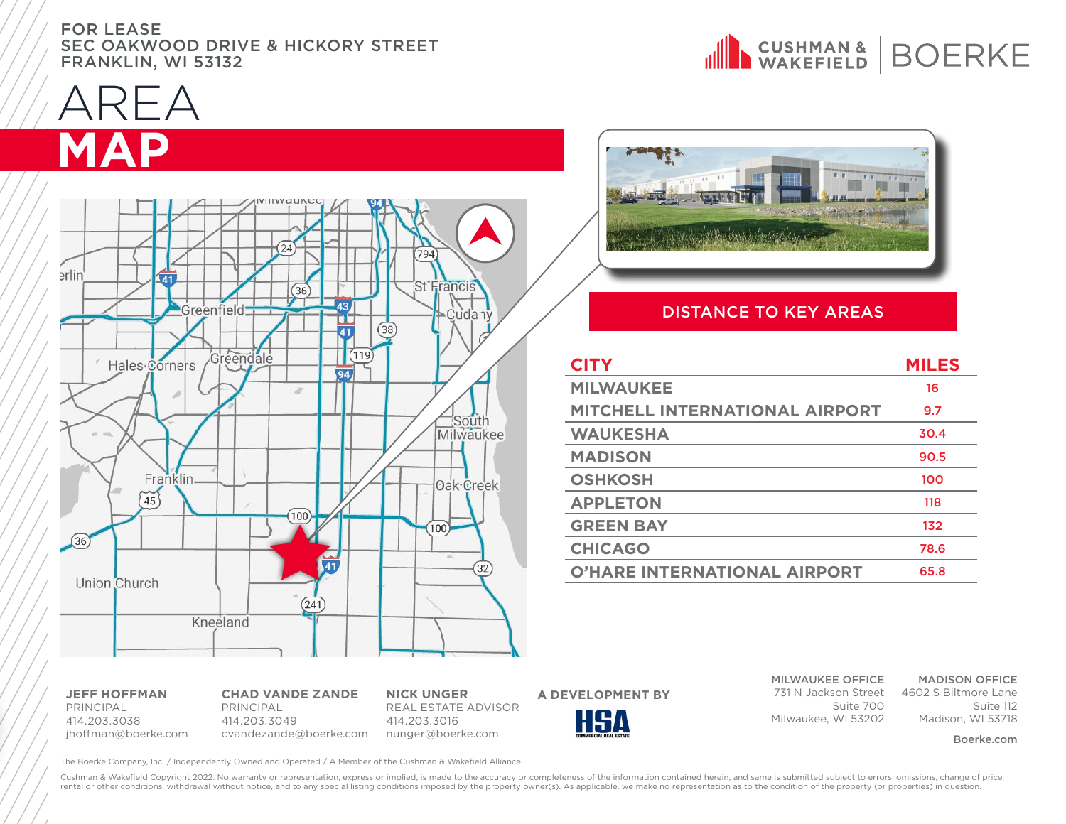#### FOR LEASE SEC OAKWOOD DRIVE & HICKORY STREET FRANKLIN, WI 53132

AREA **MAP**





#### DISTANCE TO KEY AREAS

| <b>CITY</b>                           | <b>MILES</b> |
|---------------------------------------|--------------|
| <b>MILWAUKEE</b>                      | 16           |
| <b>MITCHELL INTERNATIONAL AIRPORT</b> | 9.7          |
| <b>WAUKESHA</b>                       | 30.4         |
| <b>MADISON</b>                        | 90.5         |
| <b>OSHKOSH</b>                        | 100          |
| <b>APPLETON</b>                       | 118          |
| <b>GREEN BAY</b>                      | 132          |
| <b>CHICAGO</b>                        | 78.6         |
| <b>O'HARE INTERNATIONAL AIRPORT</b>   | 65.8         |

**JEFF HOFFMAN** PRINCIPAL 414.203.3038 jhoffman@boerke.com

**CHAD VANDE ZANDE** PRINCIPAL 414.203.3049

cvandezande@boerke.com nunger@boerke.com **NICK UNGER** REAL ESTATE ADVISOR 414.203.3016



MILWAUKEE OFFICE Suite 700

Milwaukee, WI 53202

MADISON OFFICE

731 N Jackson Street 4602 S Biltmore Lane Suite 112 Madison, WI 53718

Boerke.com

The Boerke Company, Inc. / Independently Owned and Operated / A Member of the Cushman & Wakefield Alliance

Cushman & Wakefield Copyright 2022. No warranty or representation, express or implied, is made to the accuracy or completeness of the information contained herein, and same is submitted subject to errors, omissions, change rental or other conditions, withdrawal without notice, and to any special listing conditions imposed by the property owner(s). As applicable, we make no representation as to the condition of the property (or properties) in